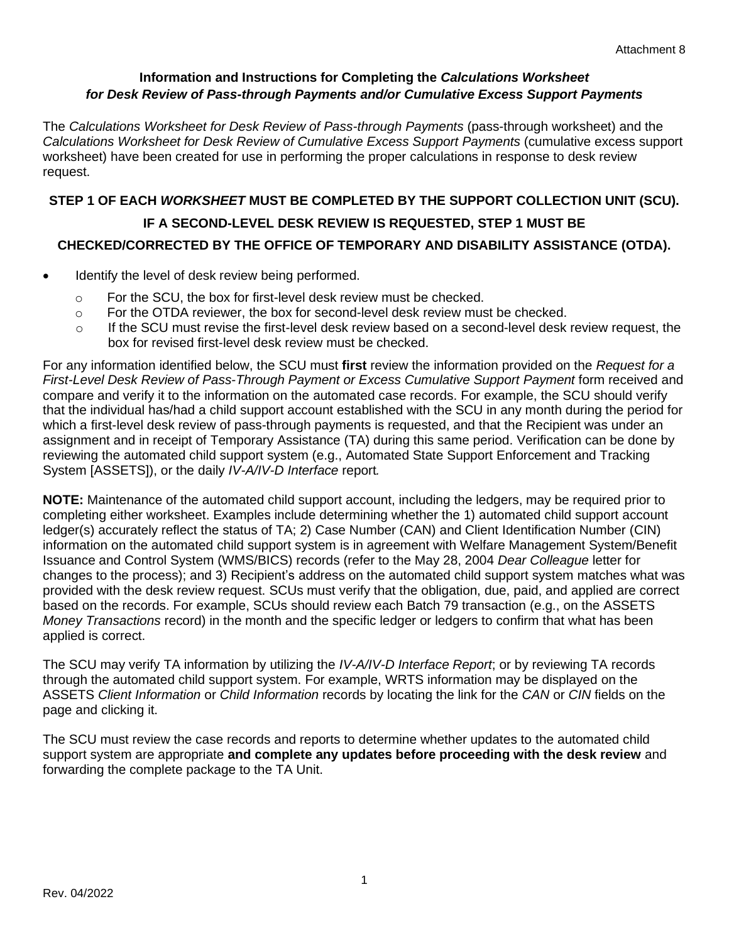#### **Information and Instructions for Completing the** *Calculations Worksheet for Desk Review of Pass-through Payments and/or Cumulative Excess Support Payments*

The *Calculations Worksheet for Desk Review of Pass-through Payments* (pass-through worksheet) and the *Calculations Worksheet for Desk Review of Cumulative Excess Support Payments* (cumulative excess support worksheet) have been created for use in performing the proper calculations in response to desk review request.

# **STEP 1 OF EACH** *WORKSHEET* **MUST BE COMPLETED BY THE SUPPORT COLLECTION UNIT (SCU). IF A SECOND-LEVEL DESK REVIEW IS REQUESTED, STEP 1 MUST BE CHECKED/CORRECTED BY THE OFFICE OF TEMPORARY AND DISABILITY ASSISTANCE (OTDA).**

- Identify the level of desk review being performed.
	- o For the SCU, the box for first-level desk review must be checked.
	- $\circ$  For the OTDA reviewer, the box for second-level desk review must be checked.
	- $\circ$  If the SCU must revise the first-level desk review based on a second-level desk review request, the box for revised first-level desk review must be checked.

For any information identified below, the SCU must **first** review the information provided on the *Request for a First-Level Desk Review of Pass-Through Payment or Excess Cumulative Support Payment* form received and compare and verify it to the information on the automated case records. For example, the SCU should verify that the individual has/had a child support account established with the SCU in any month during the period for which a first-level desk review of pass-through payments is requested, and that the Recipient was under an assignment and in receipt of Temporary Assistance (TA) during this same period. Verification can be done by reviewing the automated child support system (e.g., Automated State Support Enforcement and Tracking System [ASSETS]), or the daily *IV-A/IV-D Interface* report*.*

**NOTE:** Maintenance of the automated child support account, including the ledgers, may be required prior to completing either worksheet. Examples include determining whether the 1) automated child support account ledger(s) accurately reflect the status of TA; 2) Case Number (CAN) and Client Identification Number (CIN) information on the automated child support system is in agreement with Welfare Management System/Benefit Issuance and Control System (WMS/BICS) records (refer to the May 28, 2004 *Dear Colleague* letter for changes to the process); and 3) Recipient's address on the automated child support system matches what was provided with the desk review request. SCUs must verify that the obligation, due, paid, and applied are correct based on the records. For example, SCUs should review each Batch 79 transaction (e.g., on the ASSETS *Money Transactions* record) in the month and the specific ledger or ledgers to confirm that what has been applied is correct.

The SCU may verify TA information by utilizing the *IV-A/IV-D Interface Report*; or by reviewing TA records through the automated child support system. For example, WRTS information may be displayed on the ASSETS *Client Information* or *Child Information* records by locating the link for the *CAN* or *CIN* fields on the page and clicking it.

The SCU must review the case records and reports to determine whether updates to the automated child support system are appropriate **and complete any updates before proceeding with the desk review** and forwarding the complete package to the TA Unit.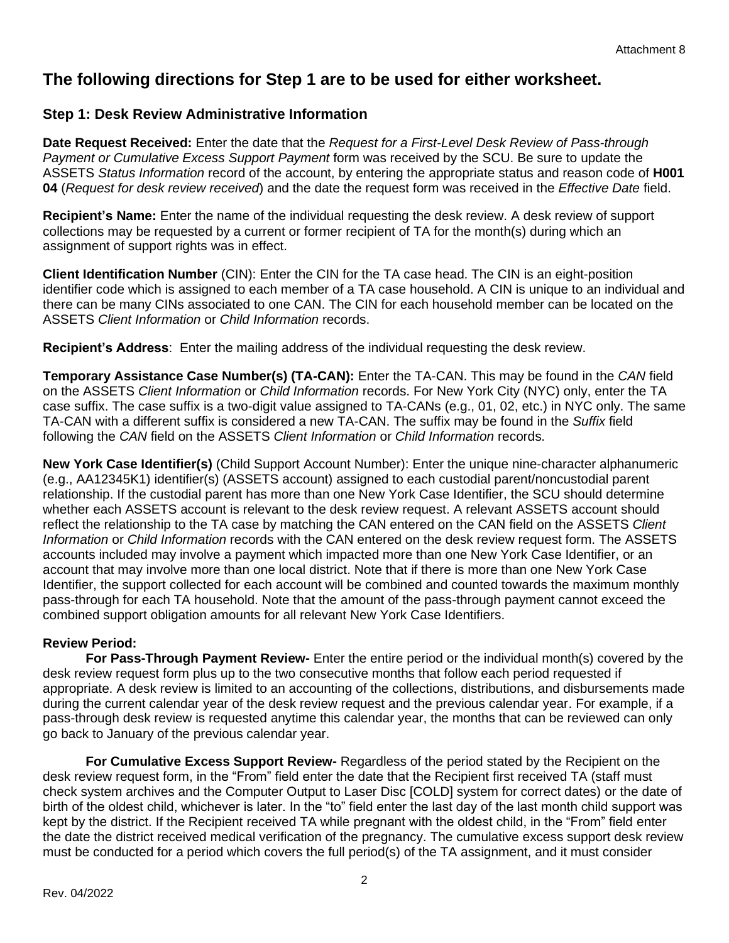# **The following directions for Step 1 are to be used for either worksheet.**

## **Step 1: Desk Review Administrative Information**

**Date Request Received:** Enter the date that the *Request for a First-Level Desk Review of Pass-through Payment or Cumulative Excess Support Payment* form was received by the SCU. Be sure to update the ASSETS *Status Information* record of the account, by entering the appropriate status and reason code of **H001 04** (*Request for desk review received*) and the date the request form was received in the *Effective Date* field.

**Recipient's Name:** Enter the name of the individual requesting the desk review. A desk review of support collections may be requested by a current or former recipient of TA for the month(s) during which an assignment of support rights was in effect.

**Client Identification Number** (CIN): Enter the CIN for the TA case head. The CIN is an eight-position identifier code which is assigned to each member of a TA case household. A CIN is unique to an individual and there can be many CINs associated to one CAN. The CIN for each household member can be located on the ASSETS *Client Information* or *Child Information* records.

**Recipient's Address**: Enter the mailing address of the individual requesting the desk review.

**Temporary Assistance Case Number(s) (TA-CAN):** Enter the TA-CAN. This may be found in the *CAN* field on the ASSETS *Client Information* or *Child Information* records. For New York City (NYC) only, enter the TA case suffix. The case suffix is a two-digit value assigned to TA-CANs (e.g., 01, 02, etc.) in NYC only. The same TA-CAN with a different suffix is considered a new TA-CAN. The suffix may be found in the *Suffix* field following the *CAN* field on the ASSETS *Client Information* or *Child Information* records.

**New York Case Identifier(s)** (Child Support Account Number): Enter the unique nine-character alphanumeric (e.g., AA12345K1) identifier(s) (ASSETS account) assigned to each custodial parent/noncustodial parent relationship. If the custodial parent has more than one New York Case Identifier, the SCU should determine whether each ASSETS account is relevant to the desk review request. A relevant ASSETS account should reflect the relationship to the TA case by matching the CAN entered on the CAN field on the ASSETS *Client Information* or *Child Information* records with the CAN entered on the desk review request form. The ASSETS accounts included may involve a payment which impacted more than one New York Case Identifier, or an account that may involve more than one local district. Note that if there is more than one New York Case Identifier, the support collected for each account will be combined and counted towards the maximum monthly pass-through for each TA household. Note that the amount of the pass-through payment cannot exceed the combined support obligation amounts for all relevant New York Case Identifiers.

## **Review Period:**

**For Pass-Through Payment Review-** Enter the entire period or the individual month(s) covered by the desk review request form plus up to the two consecutive months that follow each period requested if appropriate. A desk review is limited to an accounting of the collections, distributions, and disbursements made during the current calendar year of the desk review request and the previous calendar year. For example, if a pass-through desk review is requested anytime this calendar year, the months that can be reviewed can only go back to January of the previous calendar year.

**For Cumulative Excess Support Review-** Regardless of the period stated by the Recipient on the desk review request form, in the "From" field enter the date that the Recipient first received TA (staff must check system archives and the Computer Output to Laser Disc [COLD] system for correct dates) or the date of birth of the oldest child, whichever is later. In the "to" field enter the last day of the last month child support was kept by the district. If the Recipient received TA while pregnant with the oldest child, in the "From" field enter the date the district received medical verification of the pregnancy. The cumulative excess support desk review must be conducted for a period which covers the full period(s) of the TA assignment, and it must consider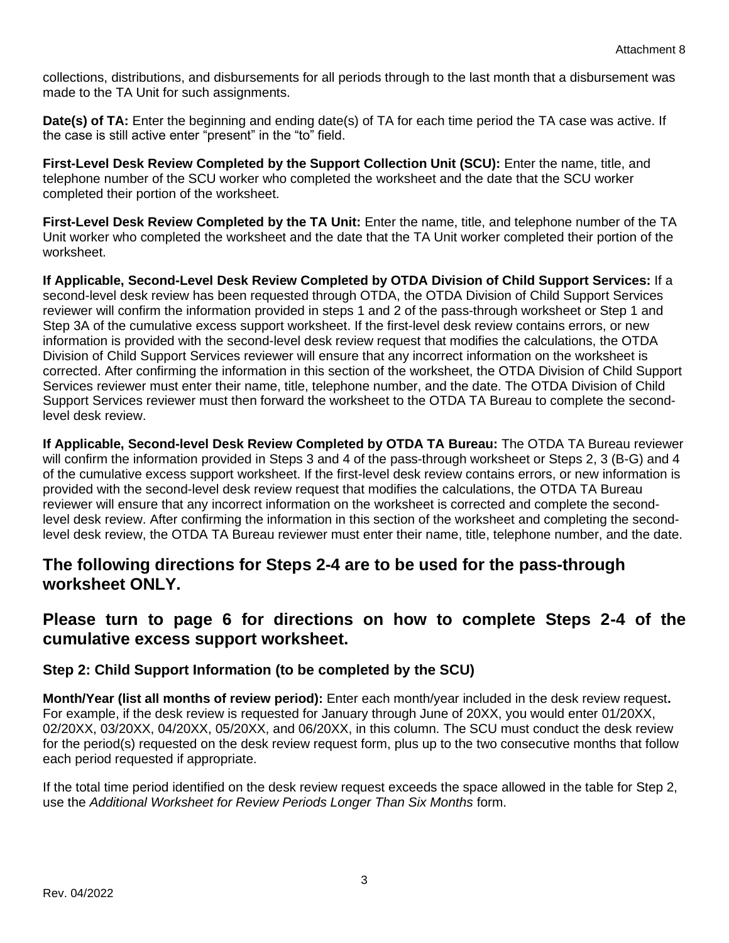collections, distributions, and disbursements for all periods through to the last month that a disbursement was made to the TA Unit for such assignments.

**Date(s) of TA:** Enter the beginning and ending date(s) of TA for each time period the TA case was active. If the case is still active enter "present" in the "to" field.

**First-Level Desk Review Completed by the Support Collection Unit (SCU):** Enter the name, title, and telephone number of the SCU worker who completed the worksheet and the date that the SCU worker completed their portion of the worksheet.

**First-Level Desk Review Completed by the TA Unit:** Enter the name, title, and telephone number of the TA Unit worker who completed the worksheet and the date that the TA Unit worker completed their portion of the worksheet.

**If Applicable, Second-Level Desk Review Completed by OTDA Division of Child Support Services:** If a second-level desk review has been requested through OTDA, the OTDA Division of Child Support Services reviewer will confirm the information provided in steps 1 and 2 of the pass-through worksheet or Step 1 and Step 3A of the cumulative excess support worksheet. If the first-level desk review contains errors, or new information is provided with the second-level desk review request that modifies the calculations, the OTDA Division of Child Support Services reviewer will ensure that any incorrect information on the worksheet is corrected. After confirming the information in this section of the worksheet, the OTDA Division of Child Support Services reviewer must enter their name, title, telephone number, and the date. The OTDA Division of Child Support Services reviewer must then forward the worksheet to the OTDA TA Bureau to complete the secondlevel desk review.

**If Applicable, Second-level Desk Review Completed by OTDA TA Bureau:** The OTDA TA Bureau reviewer will confirm the information provided in Steps 3 and 4 of the pass-through worksheet or Steps 2, 3 (B-G) and 4 of the cumulative excess support worksheet. If the first-level desk review contains errors, or new information is provided with the second-level desk review request that modifies the calculations, the OTDA TA Bureau reviewer will ensure that any incorrect information on the worksheet is corrected and complete the secondlevel desk review. After confirming the information in this section of the worksheet and completing the secondlevel desk review, the OTDA TA Bureau reviewer must enter their name, title, telephone number, and the date.

## **The following directions for Steps 2-4 are to be used for the pass-through worksheet ONLY.**

# **Please turn to page 6 for directions on how to complete Steps 2-4 of the cumulative excess support worksheet.**

## **Step 2: Child Support Information (to be completed by the SCU)**

**Month/Year (list all months of review period):** Enter each month/year included in the desk review request**.**  For example, if the desk review is requested for January through June of 20XX, you would enter 01/20XX, 02/20XX, 03/20XX, 04/20XX, 05/20XX, and 06/20XX, in this column. The SCU must conduct the desk review for the period(s) requested on the desk review request form, plus up to the two consecutive months that follow each period requested if appropriate.

If the total time period identified on the desk review request exceeds the space allowed in the table for Step 2, use the *Additional Worksheet for Review Periods Longer Than Six Months* form.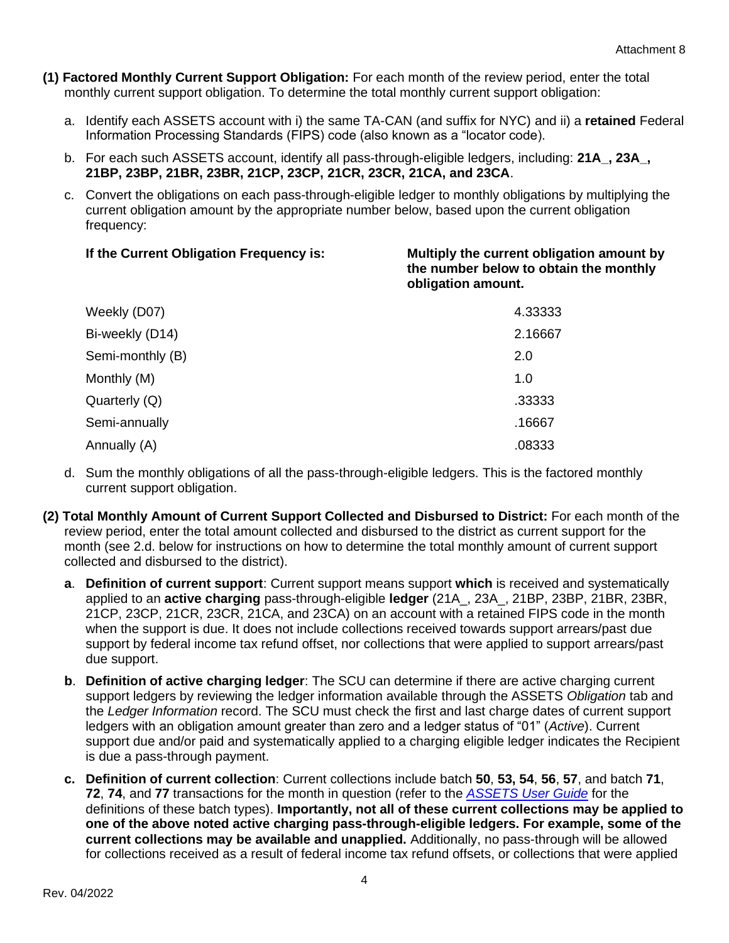- **(1) Factored Monthly Current Support Obligation:** For each month of the review period, enter the total monthly current support obligation. To determine the total monthly current support obligation:
	- a. Identify each ASSETS account with i) the same TA-CAN (and suffix for NYC) and ii) a **retained** Federal Information Processing Standards (FIPS) code (also known as a "locator code).
	- b. For each such ASSETS account, identify all pass-through-eligible ledgers, including: **21A\_, 23A\_, 21BP, 23BP, 21BR, 23BR, 21CP, 23CP, 21CR, 23CR, 21CA, and 23CA**.
	- c. Convert the obligations on each pass-through-eligible ledger to monthly obligations by multiplying the current obligation amount by the appropriate number below, based upon the current obligation frequency:

#### **If the Current Obligation Frequency is: Multiply the current obligation amount by the number below to obtain the monthly obligation amount.**

| Weekly (D07)     | 4.33333 |
|------------------|---------|
| Bi-weekly (D14)  | 2.16667 |
| Semi-monthly (B) | 2.0     |
| Monthly (M)      | 1.0     |
| Quarterly (Q)    | .33333  |
| Semi-annually    | .16667  |
| Annually (A)     | .08333  |

- d. Sum the monthly obligations of all the pass-through-eligible ledgers. This is the factored monthly current support obligation.
- **(2) Total Monthly Amount of Current Support Collected and Disbursed to District:** For each month of the review period, enter the total amount collected and disbursed to the district as current support for the month (see 2.d. below for instructions on how to determine the total monthly amount of current support collected and disbursed to the district).
	- **a**. **Definition of current support**: Current support means support **which** is received and systematically applied to an **active charging** pass-through-eligible **ledger** (21A\_, 23A\_, 21BP, 23BP, 21BR, 23BR, 21CP, 23CP, 21CR, 23CR, 21CA, and 23CA) on an account with a retained FIPS code in the month when the support is due. It does not include collections received towards support arrears/past due support by federal income tax refund offset, nor collections that were applied to support arrears/past due support.
	- **b**. **Definition of active charging ledger**: The SCU can determine if there are active charging current support ledgers by reviewing the ledger information available through the ASSETS *Obligation* tab and the *Ledger Information* record. The SCU must check the first and last charge dates of current support ledgers with an obligation amount greater than zero and a ledger status of "01" (*Active*). Current support due and/or paid and systematically applied to a charging eligible ledger indicates the Recipient is due a pass-through payment.
	- **c. Definition of current collection**: Current collections include batch **50**, **53, 54**, **56**, **57**, and batch **71**, **72**, **74**, and **77** transactions for the month in question (refer to the *[ASSETS User Guide](http://otda.state.nyenet/assets/pages/PDFs/Systems_-_ASSETS/ASSETS_User_Guide.pdf)* for the definitions of these batch types). **Importantly, not all of these current collections may be applied to one of the above noted active charging pass-through-eligible ledgers. For example, some of the current collections may be available and unapplied.** Additionally, no pass-through will be allowed for collections received as a result of federal income tax refund offsets, or collections that were applied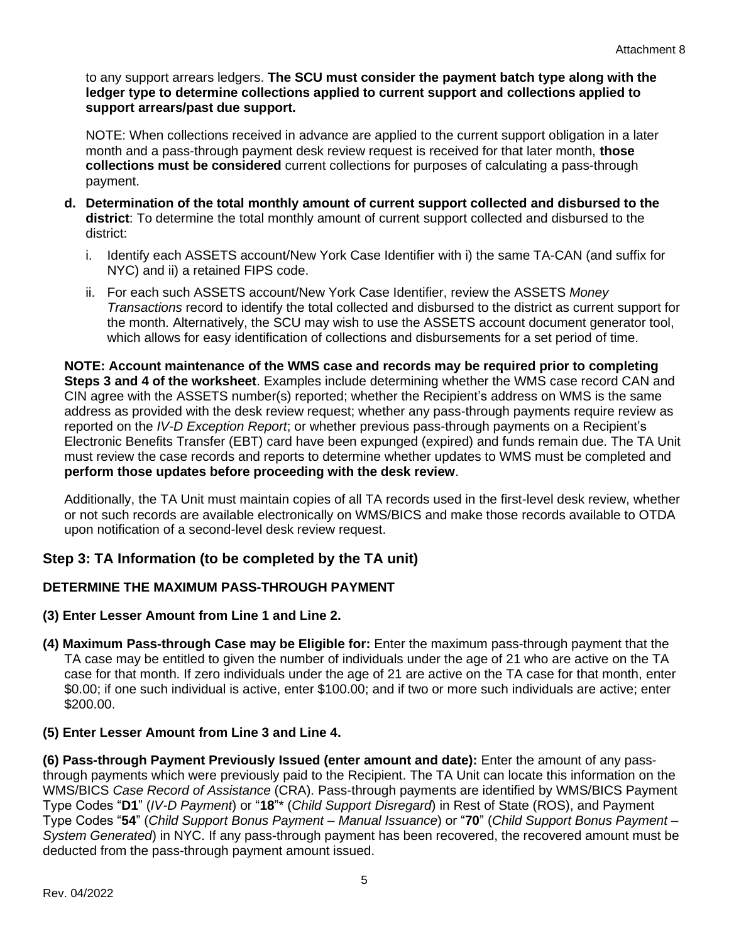to any support arrears ledgers. **The SCU must consider the payment batch type along with the ledger type to determine collections applied to current support and collections applied to support arrears/past due support.**

NOTE: When collections received in advance are applied to the current support obligation in a later month and a pass-through payment desk review request is received for that later month, **those collections must be considered** current collections for purposes of calculating a pass-through payment.

- **d. Determination of the total monthly amount of current support collected and disbursed to the district**: To determine the total monthly amount of current support collected and disbursed to the district:
	- i. Identify each ASSETS account/New York Case Identifier with i) the same TA-CAN (and suffix for NYC) and ii) a retained FIPS code.
	- ii. For each such ASSETS account/New York Case Identifier, review the ASSETS *Money Transactions* record to identify the total collected and disbursed to the district as current support for the month. Alternatively, the SCU may wish to use the ASSETS account document generator tool, which allows for easy identification of collections and disbursements for a set period of time.

**NOTE: Account maintenance of the WMS case and records may be required prior to completing Steps 3 and 4 of the worksheet**. Examples include determining whether the WMS case record CAN and CIN agree with the ASSETS number(s) reported; whether the Recipient's address on WMS is the same address as provided with the desk review request; whether any pass-through payments require review as reported on the *IV-D Exception Report*; or whether previous pass-through payments on a Recipient's Electronic Benefits Transfer (EBT) card have been expunged (expired) and funds remain due. The TA Unit must review the case records and reports to determine whether updates to WMS must be completed and **perform those updates before proceeding with the desk review**.

Additionally, the TA Unit must maintain copies of all TA records used in the first-level desk review, whether or not such records are available electronically on WMS/BICS and make those records available to OTDA upon notification of a second-level desk review request.

## **Step 3: TA Information (to be completed by the TA unit)**

## **DETERMINE THE MAXIMUM PASS-THROUGH PAYMENT**

- **(3) Enter Lesser Amount from Line 1 and Line 2.**
- **(4) Maximum Pass-through Case may be Eligible for:** Enter the maximum pass-through payment that the TA case may be entitled to given the number of individuals under the age of 21 who are active on the TA case for that month. If zero individuals under the age of 21 are active on the TA case for that month, enter \$0.00; if one such individual is active, enter \$100.00; and if two or more such individuals are active; enter \$200.00.

#### **(5) Enter Lesser Amount from Line 3 and Line 4.**

**(6) Pass-through Payment Previously Issued (enter amount and date):** Enter the amount of any passthrough payments which were previously paid to the Recipient. The TA Unit can locate this information on the WMS/BICS *Case Record of Assistance* (CRA). Pass-through payments are identified by WMS/BICS Payment Type Codes "**D1**" (*IV-D Payment*) or "**18**"\* (*Child Support Disregard*) in Rest of State (ROS), and Payment Type Codes "**54**" (*Child Support Bonus Payment – Manual Issuance*) or "**70**" (*Child Support Bonus Payment – System Generated*) in NYC. If any pass-through payment has been recovered, the recovered amount must be deducted from the pass-through payment amount issued.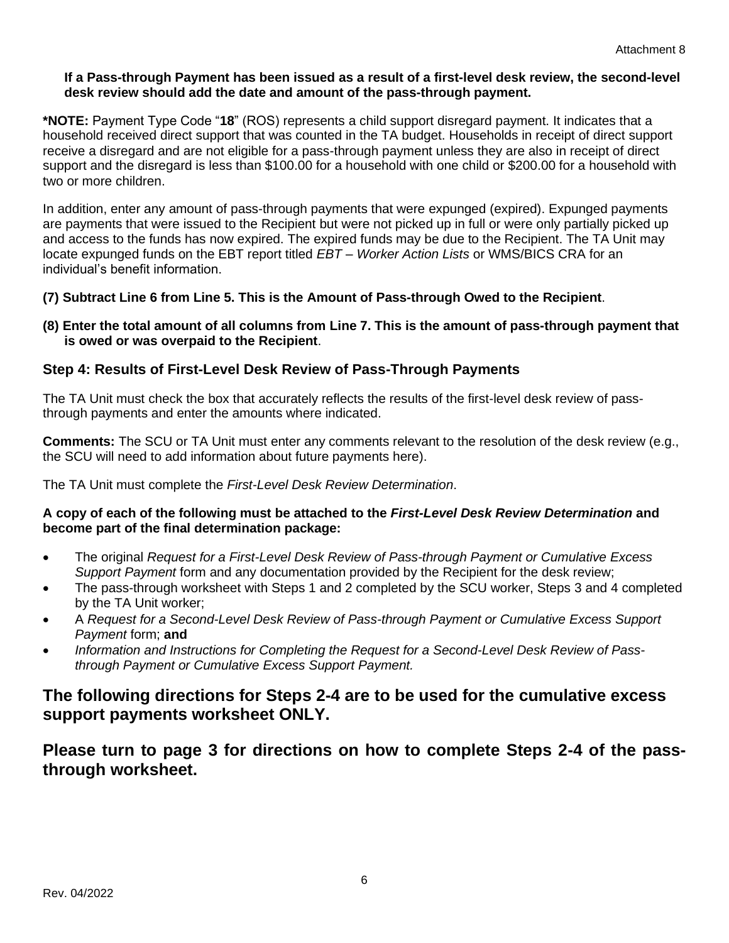#### **If a Pass-through Payment has been issued as a result of a first-level desk review, the second-level desk review should add the date and amount of the pass-through payment.**

**\*NOTE:** Payment Type Code "**18**" (ROS) represents a child support disregard payment. It indicates that a household received direct support that was counted in the TA budget. Households in receipt of direct support receive a disregard and are not eligible for a pass-through payment unless they are also in receipt of direct support and the disregard is less than \$100.00 for a household with one child or \$200.00 for a household with two or more children.

In addition, enter any amount of pass-through payments that were expunged (expired). Expunged payments are payments that were issued to the Recipient but were not picked up in full or were only partially picked up and access to the funds has now expired. The expired funds may be due to the Recipient. The TA Unit may locate expunged funds on the EBT report titled *EBT – Worker Action Lists* or WMS/BICS CRA for an individual's benefit information.

- **(7) Subtract Line 6 from Line 5. This is the Amount of Pass-through Owed to the Recipient**.
- **(8) Enter the total amount of all columns from Line 7. This is the amount of pass-through payment that is owed or was overpaid to the Recipient**.

## **Step 4: Results of First-Level Desk Review of Pass-Through Payments**

The TA Unit must check the box that accurately reflects the results of the first-level desk review of passthrough payments and enter the amounts where indicated.

**Comments:** The SCU or TA Unit must enter any comments relevant to the resolution of the desk review (e.g., the SCU will need to add information about future payments here).

The TA Unit must complete the *First-Level Desk Review Determination*.

#### **A copy of each of the following must be attached to the** *First-Level Desk Review Determination* **and become part of the final determination package:**

- The original *Request for a First-Level Desk Review of Pass-through Payment or Cumulative Excess Support Payment* form and any documentation provided by the Recipient for the desk review;
- The pass-through worksheet with Steps 1 and 2 completed by the SCU worker, Steps 3 and 4 completed by the TA Unit worker;
- A *Request for a Second-Level Desk Review of Pass-through Payment or Cumulative Excess Support Payment* form; **and**
- *Information and Instructions for Completing the Request for a Second-Level Desk Review of Passthrough Payment or Cumulative Excess Support Payment.*

## **The following directions for Steps 2-4 are to be used for the cumulative excess support payments worksheet ONLY.**

**Please turn to page 3 for directions on how to complete Steps 2-4 of the passthrough worksheet.**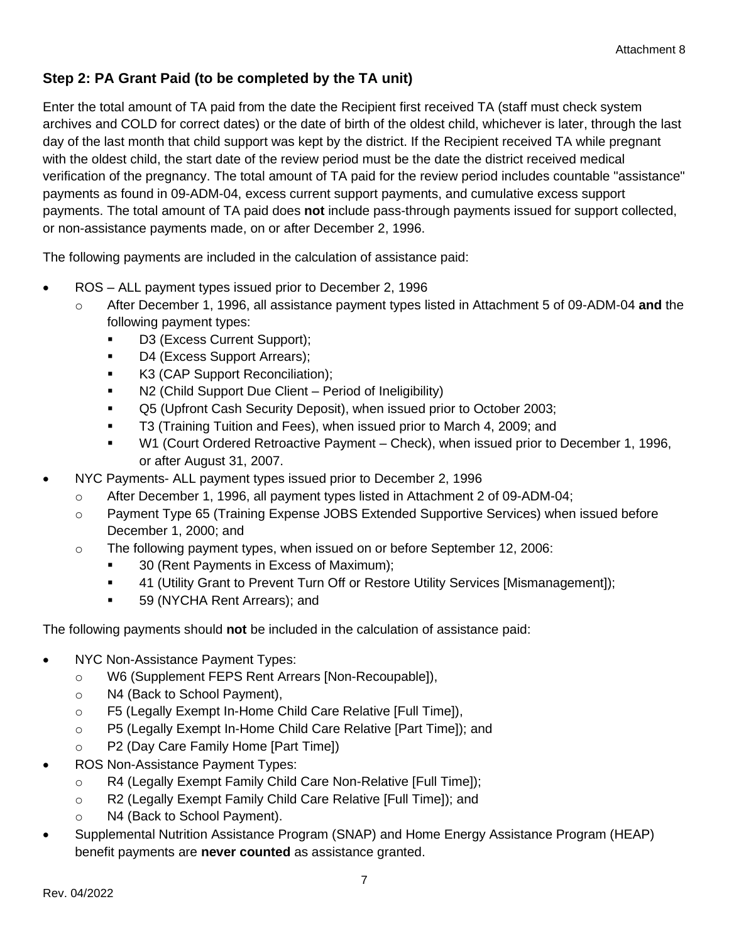# **Step 2: PA Grant Paid (to be completed by the TA unit)**

Enter the total amount of TA paid from the date the Recipient first received TA (staff must check system archives and COLD for correct dates) or the date of birth of the oldest child, whichever is later, through the last day of the last month that child support was kept by the district. If the Recipient received TA while pregnant with the oldest child, the start date of the review period must be the date the district received medical verification of the pregnancy. The total amount of TA paid for the review period includes countable "assistance" payments as found in 09-ADM-04, excess current support payments, and cumulative excess support payments. The total amount of TA paid does **not** include pass-through payments issued for support collected, or non-assistance payments made, on or after December 2, 1996.

The following payments are included in the calculation of assistance paid:

- ROS ALL payment types issued prior to December 2, 1996
	- o After December 1, 1996, all assistance payment types listed in Attachment 5 of 09-ADM-04 **and** the following payment types:
		- D3 (Excess Current Support);
		- D4 (Excess Support Arrears);
		- **K3 (CAP Support Reconciliation);**
		- N2 (Child Support Due Client Period of Ineligibility)
		- Q5 (Upfront Cash Security Deposit), when issued prior to October 2003;
		- **T3 (Training Tuition and Fees), when issued prior to March 4, 2009; and**
		- W1 (Court Ordered Retroactive Payment Check), when issued prior to December 1, 1996, or after August 31, 2007.
- NYC Payments- ALL payment types issued prior to December 2, 1996
	- o After December 1, 1996, all payment types listed in Attachment 2 of 09-ADM-04;
	- o Payment Type 65 (Training Expense JOBS Extended Supportive Services) when issued before December 1, 2000; and
	- $\circ$  The following payment types, when issued on or before September 12, 2006:
		- 30 (Rent Payments in Excess of Maximum);
		- 41 (Utility Grant to Prevent Turn Off or Restore Utility Services [Mismanagement]);
		- 59 (NYCHA Rent Arrears); and

The following payments should **not** be included in the calculation of assistance paid:

- NYC Non-Assistance Payment Types:
	- o W6 (Supplement FEPS Rent Arrears [Non-Recoupable]),
	- o N4 (Back to School Payment),
	- o F5 (Legally Exempt In-Home Child Care Relative [Full Time]),
	- o P5 (Legally Exempt In-Home Child Care Relative [Part Time]); and
	- o P2 (Day Care Family Home [Part Time])
- ROS Non-Assistance Payment Types:
	- o R4 (Legally Exempt Family Child Care Non-Relative [Full Time]);
	- o R2 (Legally Exempt Family Child Care Relative [Full Time]); and
	- o N4 (Back to School Payment).
- Supplemental Nutrition Assistance Program (SNAP) and Home Energy Assistance Program (HEAP) benefit payments are **never counted** as assistance granted.